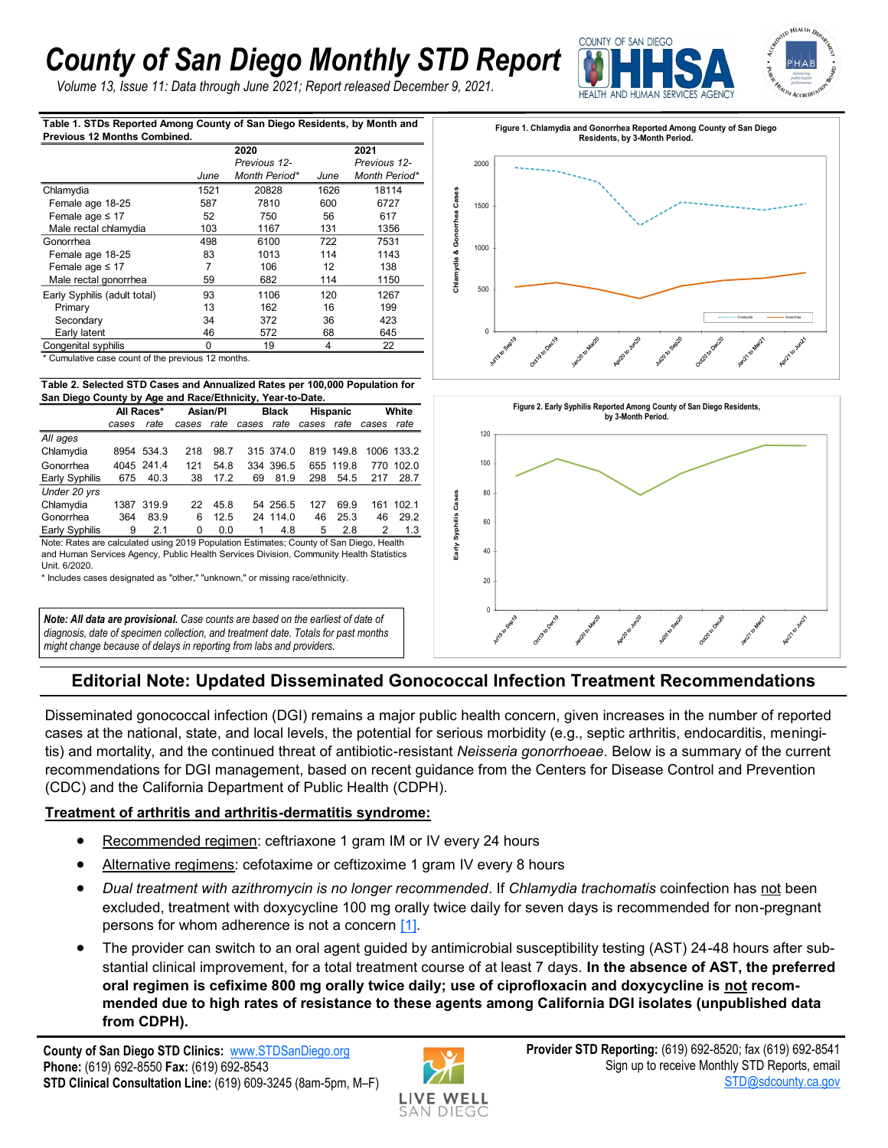# *County of San Diego Monthly STD Report*

*Volume 13, Issue 11: Data through June 2021; Report released December 9, 2021.*



**Table 1. STDs Reported Among County of San Diego Residents, by Month and Previous 12 Months Combined.**

|                              |      | 2020          |      | 2021          |  |  |
|------------------------------|------|---------------|------|---------------|--|--|
|                              |      | Previous 12-  |      | Previous 12-  |  |  |
|                              | June | Month Period* | June | Month Period* |  |  |
| Chlamydia                    | 1521 | 20828         | 1626 | 18114         |  |  |
| Female age 18-25             | 587  | 7810          | 600  | 6727          |  |  |
| Female age $\leq 17$         | 52   | 750           | 56   | 617           |  |  |
| Male rectal chlamydia        | 103  | 1167          | 131  | 1356          |  |  |
| Gonorrhea                    | 498  | 6100          | 722  | 7531          |  |  |
| Female age 18-25             | 83   | 1013          | 114  | 1143          |  |  |
| Female age $\leq 17$         | 7    | 106           | 12   | 138           |  |  |
| Male rectal gonorrhea        | 59   | 682           | 114  | 1150          |  |  |
| Early Syphilis (adult total) | 93   | 1106          | 120  | 1267          |  |  |
| Primary                      | 13   | 162           | 16   | 199           |  |  |
| Secondary                    | 34   | 372           | 36   | 423           |  |  |
| Early latent                 | 46   | 572           | 68   | 645           |  |  |
| Congenital syphilis          | 0    | 19            | 4    | 22            |  |  |

Cumulative case count of the previous 12 months.

#### **Table 2. Selected STD Cases and Annualized Rates per 100,000 Population for San Diego County by Age and Race/Ethnicity, Year-to-Date.**

| $\frac{1}{2}$ and $\frac{1}{2}$ and $\frac{1}{2}$ and $\frac{1}{2}$ and $\frac{1}{2}$ and $\frac{1}{2}$ and $\frac{1}{2}$ and $\frac{1}{2}$ and $\frac{1}{2}$ |            |            |            |      |                       |           |                 |           |       |            |  |  |  |
|---------------------------------------------------------------------------------------------------------------------------------------------------------------|------------|------------|------------|------|-----------------------|-----------|-----------------|-----------|-------|------------|--|--|--|
|                                                                                                                                                               | All Races* |            | Asian/Pl   |      | <b>Black</b>          |           | <b>Hispanic</b> |           | White |            |  |  |  |
|                                                                                                                                                               | cases      | rate       | cases rate |      | cases rate cases rate |           |                 |           | cases | rate       |  |  |  |
| All ages                                                                                                                                                      |            |            |            |      |                       |           |                 |           |       |            |  |  |  |
| Chlamydia                                                                                                                                                     |            | 8954 534.3 | 218        | 98.7 |                       | 315 374.0 |                 | 819 149.8 |       | 1006 133.2 |  |  |  |
| Gonorrhea                                                                                                                                                     |            | 4045 241.4 | 121        | 54.8 |                       | 334 396.5 |                 | 655 119.8 | 770   | 102.0      |  |  |  |
| Early Syphilis                                                                                                                                                | 675        | 40.3       | 38         | 17.2 | 69                    | 81.9      | 298             | 54.5      | 217   | 28.7       |  |  |  |
| Under 20 yrs                                                                                                                                                  |            |            |            |      |                       |           |                 |           |       |            |  |  |  |
| Chlamydia                                                                                                                                                     |            | 1387 319.9 | 22.        | 45.8 |                       | 54 256.5  | 127             | 69.9      |       | 161 102.1  |  |  |  |
| Gonorrhea                                                                                                                                                     | 364        | 83.9       | 6          | 12.5 |                       | 24 114.0  | 46              | 25.3      | 46    | 29.2       |  |  |  |
| <b>Early Syphilis</b>                                                                                                                                         | 9          | 21         | U          | 0.0  |                       | 4.8       | 5               | 2.8       | 2     | 1.3        |  |  |  |

Note: Rates are calculated using 2019 Population Estimates; County of San Diego, Health and Human Services Agency, Public Health Services Division, Community Health Statistics Unit. 6/2020.

\* Includes cases designated as "other," "unknown," or missing race/ethnicity.

*Note: All data are provisional. Case counts are based on the earliest of date of diagnosis, date of specimen collection, and treatment date. Totals for past months might change because of delays in reporting from labs and providers.* 





## **Editorial Note: Updated Disseminated Gonococcal Infection Treatment Recommendations**

Disseminated gonococcal infection (DGI) remains a major public health concern, given increases in the number of reported cases at the national, state, and local levels, the potential for serious morbidity (e.g., septic arthritis, endocarditis, meningitis) and mortality, and the continued threat of antibiotic-resistant *Neisseria gonorrhoeae*. Below is a summary of the current recommendations for DGI management, based on recent guidance from the Centers for Disease Control and Prevention (CDC) and the California Department of Public Health (CDPH).

### **Treatment of arthritis and arthritis-dermatitis syndrome:**

- Recommended regimen: ceftriaxone 1 gram IM or IV every 24 hours
- Alternative regimens: cefotaxime or ceftizoxime 1 gram IV every 8 hours
- *Dual treatment with azithromycin is no longer recommended*. If *Chlamydia trachomatis* coinfection has not been excluded, treatment with doxycycline 100 mg orally twice daily for seven days is recommended for non-pregnant persons for whom adherence is not a concern [\[1\].](https://www.cdc.gov/std/treatment-guidelines/gonorrhea.htm)
- The provider can switch to an oral agent guided by antimicrobial susceptibility testing (AST) 24-48 hours after substantial clinical improvement, for a total treatment course of at least 7 days. **In the absence of AST, the preferred oral regimen is cefixime 800 mg orally twice daily; use of ciprofloxacin and doxycycline is not recommended due to high rates of resistance to these agents among California DGI isolates (unpublished data from CDPH).**